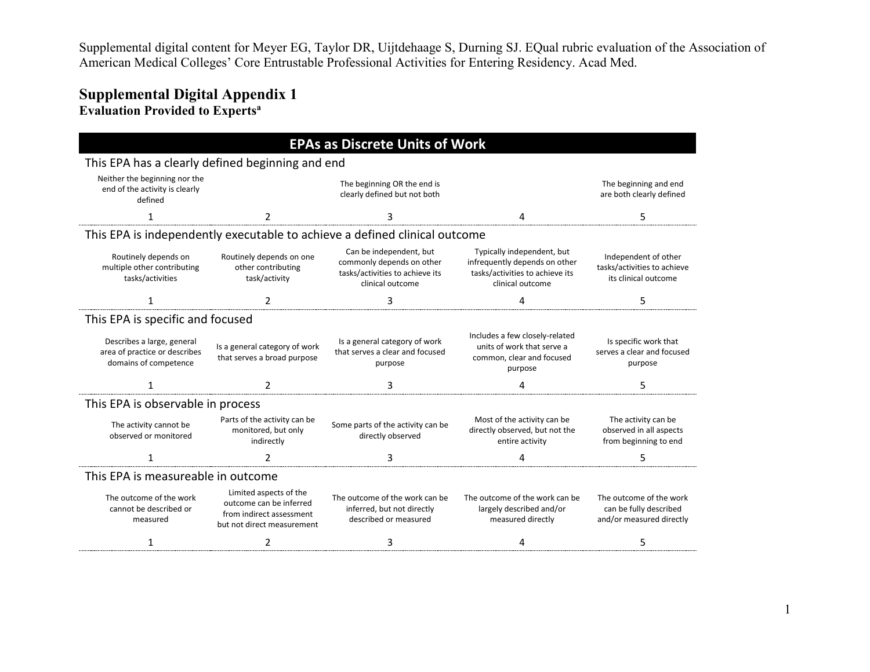# **Supplemental Digital Appendix 1 Evaluation Provided to Expertsa**

| <b>EPAs as Discrete Units of Work</b>                                                |                                                                                                             |                                                                                                             |                                                                                                                    |                                                                               |  |
|--------------------------------------------------------------------------------------|-------------------------------------------------------------------------------------------------------------|-------------------------------------------------------------------------------------------------------------|--------------------------------------------------------------------------------------------------------------------|-------------------------------------------------------------------------------|--|
| This EPA has a clearly defined beginning and end                                     |                                                                                                             |                                                                                                             |                                                                                                                    |                                                                               |  |
| Neither the beginning nor the<br>end of the activity is clearly<br>defined           |                                                                                                             | The beginning OR the end is<br>clearly defined but not both                                                 |                                                                                                                    | The beginning and end<br>are both clearly defined                             |  |
| 1                                                                                    | $\mathfrak{p}$                                                                                              | 3                                                                                                           | 4                                                                                                                  | 5                                                                             |  |
|                                                                                      |                                                                                                             | This EPA is independently executable to achieve a defined clinical outcome                                  |                                                                                                                    |                                                                               |  |
| Routinely depends on<br>multiple other contributing<br>tasks/activities              | Routinely depends on one<br>other contributing<br>task/activity                                             | Can be independent, but<br>commonly depends on other<br>tasks/activities to achieve its<br>clinical outcome | Typically independent, but<br>infrequently depends on other<br>tasks/activities to achieve its<br>clinical outcome | Independent of other<br>tasks/activities to achieve<br>its clinical outcome   |  |
|                                                                                      | $\mathfrak z$                                                                                               | 3                                                                                                           | 4                                                                                                                  | 5                                                                             |  |
| This EPA is specific and focused                                                     |                                                                                                             |                                                                                                             |                                                                                                                    |                                                                               |  |
| Describes a large, general<br>area of practice or describes<br>domains of competence | Is a general category of work<br>that serves a broad purpose                                                | Is a general category of work<br>that serves a clear and focused<br>purpose                                 | Includes a few closely-related<br>units of work that serve a<br>common, clear and focused<br>purpose               | Is specific work that<br>serves a clear and focused<br>purpose                |  |
| 1                                                                                    | $\mathcal{P}$                                                                                               | 3                                                                                                           | 4                                                                                                                  | 5                                                                             |  |
| This EPA is observable in process                                                    |                                                                                                             |                                                                                                             |                                                                                                                    |                                                                               |  |
| The activity cannot be<br>observed or monitored                                      | Parts of the activity can be<br>monitored, but only<br>indirectly                                           | Some parts of the activity can be<br>directly observed                                                      | Most of the activity can be<br>directly observed, but not the<br>entire activity                                   | The activity can be<br>observed in all aspects<br>from beginning to end       |  |
|                                                                                      |                                                                                                             |                                                                                                             |                                                                                                                    |                                                                               |  |
| This EPA is measureable in outcome                                                   |                                                                                                             |                                                                                                             |                                                                                                                    |                                                                               |  |
| The outcome of the work<br>cannot be described or<br>measured                        | Limited aspects of the<br>outcome can be inferred<br>from indirect assessment<br>but not direct measurement | The outcome of the work can be<br>inferred, but not directly<br>described or measured                       | The outcome of the work can be<br>largely described and/or<br>measured directly                                    | The outcome of the work<br>can be fully described<br>and/or measured directly |  |
| 1                                                                                    | 2                                                                                                           | 3                                                                                                           | 4                                                                                                                  | 5                                                                             |  |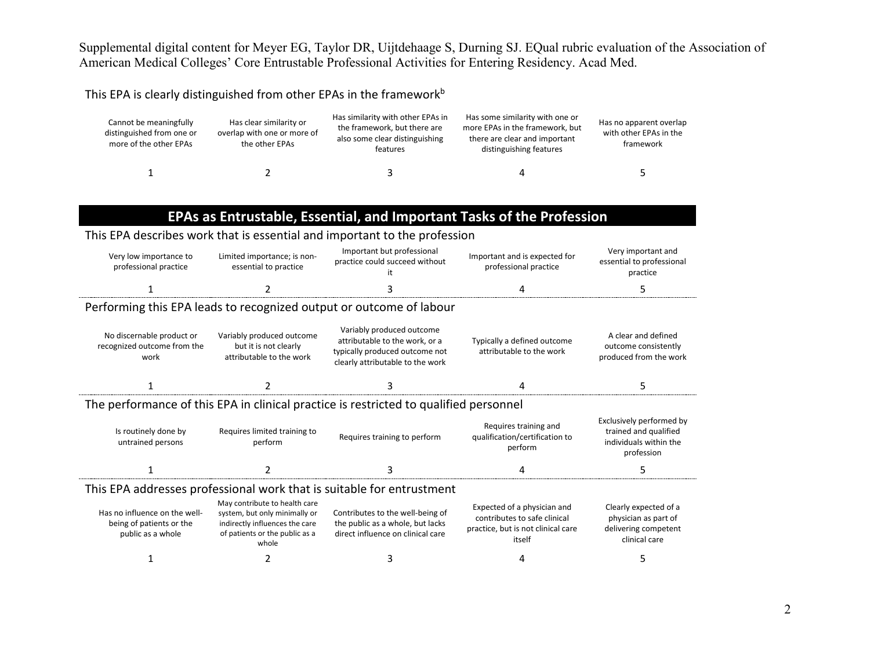#### This EPA is clearly distinguished from other EPAs in the framework<sup>b</sup>

| Cannot be meaningfully<br>distinguished from one or<br>more of the other EPAs | Has clear similarity or<br>overlap with one or more of<br>the other EPAs | Has similarity with other EPAs in<br>the framework, but there are<br>also some clear distinguishing<br>features | Has some similarity with one or<br>more EPAs in the framework, but<br>there are clear and important<br>distinguishing features | Has no apparent overlap<br>with other EPAs in the<br>framework |
|-------------------------------------------------------------------------------|--------------------------------------------------------------------------|-----------------------------------------------------------------------------------------------------------------|--------------------------------------------------------------------------------------------------------------------------------|----------------------------------------------------------------|
|                                                                               |                                                                          |                                                                                                                 |                                                                                                                                |                                                                |

# **EPAs as Entrustable, Essential, and Important Tasks of the Profession**

### This EPA describes work that is essential and important to the profession

| Very low importance to<br>professional practice | Limited importance; is non-<br>essential to practice | Important but professional<br>practice could succeed without | Important and is expected for<br>professional practice | Very important and<br>essential to professional<br>practice |
|-------------------------------------------------|------------------------------------------------------|--------------------------------------------------------------|--------------------------------------------------------|-------------------------------------------------------------|
|                                                 |                                                      |                                                              |                                                        |                                                             |

## Performing this EPA leads to recognized output or outcome of labour

| No discernable product or<br>recognized outcome from the<br>work | Variably produced outcome<br>but it is not clearly<br>attributable to the work | Variably produced outcome<br>attributable to the work, or a<br>typically produced outcome not<br>clearly attributable to the work | Typically a defined outcome<br>attributable to the work | A clear and defined<br>outcome consistently<br>produced from the work |
|------------------------------------------------------------------|--------------------------------------------------------------------------------|-----------------------------------------------------------------------------------------------------------------------------------|---------------------------------------------------------|-----------------------------------------------------------------------|
|                                                                  |                                                                                |                                                                                                                                   |                                                         |                                                                       |

## The performance of this EPA in clinical practice is restricted to qualified personnel

| Is routinely done by<br>untrained persons | Requires limited training to<br>perform | Requires training to perform | Requires training and<br>qualification/certification to<br>perform | Exclusively performed by<br>trained and qualified<br>individuals within the<br>profession |
|-------------------------------------------|-----------------------------------------|------------------------------|--------------------------------------------------------------------|-------------------------------------------------------------------------------------------|
|                                           |                                         |                              |                                                                    |                                                                                           |

### This EPA addresses professional work that is suitable for entrustment

| Has no influence on the well-<br>being of patients or the<br>public as a whole | May contribute to health care<br>system, but only minimally or<br>indirectly influences the care<br>of patients or the public as a<br>whole | Contributes to the well-being of<br>the public as a whole, but lacks<br>direct influence on clinical care | Expected of a physician and<br>contributes to safe clinical<br>practice, but is not clinical care<br>itself | Clearly expected of a<br>physician as part of<br>delivering competent<br>clinical care |
|--------------------------------------------------------------------------------|---------------------------------------------------------------------------------------------------------------------------------------------|-----------------------------------------------------------------------------------------------------------|-------------------------------------------------------------------------------------------------------------|----------------------------------------------------------------------------------------|
|                                                                                |                                                                                                                                             |                                                                                                           |                                                                                                             |                                                                                        |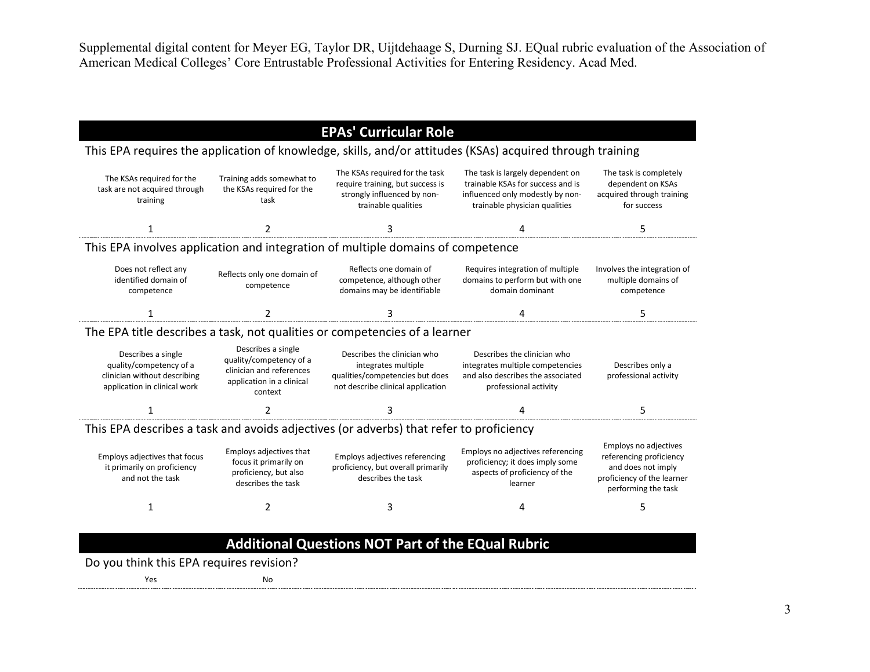# **EPAs' Curricular Role**

| This EPA requires the application of knowledge, skills, and/or attitudes (KSAs) acquired through training     |                                                                                                                   |                                                                                                                            |                                                                                                                                            |                                                                                                                                    |  |
|---------------------------------------------------------------------------------------------------------------|-------------------------------------------------------------------------------------------------------------------|----------------------------------------------------------------------------------------------------------------------------|--------------------------------------------------------------------------------------------------------------------------------------------|------------------------------------------------------------------------------------------------------------------------------------|--|
| The KSAs required for the<br>task are not acquired through<br>training                                        | Training adds somewhat to<br>the KSAs required for the<br>task                                                    | The KSAs required for the task<br>require training, but success is<br>strongly influenced by non-<br>trainable qualities   | The task is largely dependent on<br>trainable KSAs for success and is<br>influenced only modestly by non-<br>trainable physician qualities | The task is completely<br>dependent on KSAs<br>acquired through training<br>for success                                            |  |
| 1                                                                                                             | 2                                                                                                                 | 3                                                                                                                          | 4                                                                                                                                          | 5                                                                                                                                  |  |
|                                                                                                               |                                                                                                                   | This EPA involves application and integration of multiple domains of competence                                            |                                                                                                                                            |                                                                                                                                    |  |
| Does not reflect any<br>identified domain of<br>competence                                                    | Reflects only one domain of<br>competence                                                                         | Reflects one domain of<br>competence, although other<br>domains may be identifiable                                        | Requires integration of multiple<br>domains to perform but with one<br>domain dominant                                                     | Involves the integration of<br>multiple domains of<br>competence                                                                   |  |
| 1                                                                                                             | 2                                                                                                                 | 3                                                                                                                          | 4                                                                                                                                          | 5                                                                                                                                  |  |
|                                                                                                               |                                                                                                                   | The EPA title describes a task, not qualities or competencies of a learner                                                 |                                                                                                                                            |                                                                                                                                    |  |
| Describes a single<br>quality/competency of a<br>clinician without describing<br>application in clinical work | Describes a single<br>quality/competency of a<br>clinician and references<br>application in a clinical<br>context | Describes the clinician who<br>integrates multiple<br>qualities/competencies but does<br>not describe clinical application | Describes the clinician who<br>integrates multiple competencies<br>and also describes the associated<br>professional activity              | Describes only a<br>professional activity                                                                                          |  |
|                                                                                                               |                                                                                                                   | 3                                                                                                                          | 4                                                                                                                                          | 5                                                                                                                                  |  |
|                                                                                                               |                                                                                                                   | This EPA describes a task and avoids adjectives (or adverbs) that refer to proficiency                                     |                                                                                                                                            |                                                                                                                                    |  |
| Employs adjectives that focus<br>it primarily on proficiency<br>and not the task                              | Employs adjectives that<br>focus it primarily on<br>proficiency, but also<br>describes the task                   | Employs adjectives referencing<br>proficiency, but overall primarily<br>describes the task                                 | Employs no adjectives referencing<br>proficiency; it does imply some<br>aspects of proficiency of the<br>learner                           | <b>Employs no adjectives</b><br>referencing proficiency<br>and does not imply<br>proficiency of the learner<br>performing the task |  |
| 1                                                                                                             | 2                                                                                                                 | 3                                                                                                                          | 4                                                                                                                                          | 5                                                                                                                                  |  |
|                                                                                                               |                                                                                                                   |                                                                                                                            |                                                                                                                                            |                                                                                                                                    |  |
|                                                                                                               |                                                                                                                   | <b>Additional Questions NOT Part of the EQual Rubric</b>                                                                   |                                                                                                                                            |                                                                                                                                    |  |

Do you think this EPA requires revision?

Yes No